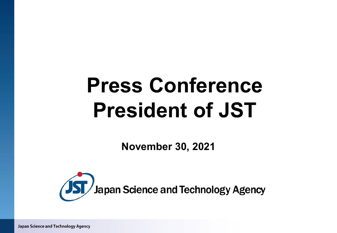# **Press Conference President of JST**

**November 30, 2021**



Japan Science and Technology Agency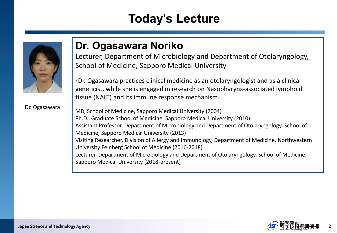## **Today's Lecture**



**Dr. Ogasawara Noriko**

Lecturer, Department of Microbiology and Department of Otolaryngology, School of Medicine, Sapporo Medical University

・Dr. Ogasawara practices clinical medicine as an otolaryngologist and as a clinical geneticist, while she is engaged in research on Nasopharynx-associated lymphoid tissue (NALT) and its immune response mechanism.

Dr. Ogasawara

MD, School of Medicine, Sapporo Medical University (2004) Ph.D., Graduate School of Medicine, Sapporo Medical University (2010) Assistant Professor, Department of Microbiology and Department of Otolaryngology, School of Medicine, Sapporo Medical University (2013) Visiting Researcher, Division of Allergy and Immunology, Department of Medicine, Northwestern University Feinberg School of Medicine (2016-2018) Lecturer, Department of Microbiology and Department of Otolaryngology, School of Medicine, Sapporo Medical University (2018-present)

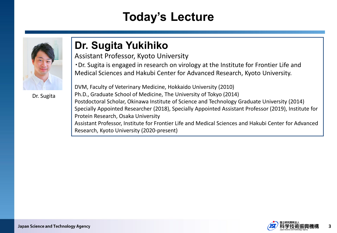## **Today's Lecture**



Dr. Sugita

### **Dr. Sugita Yukihiko**

Assistant Professor, Kyoto University

・Dr. Sugita is engaged in research on virology at the Institute for Frontier Life and Medical Sciences and Hakubi Center for Advanced Research, Kyoto University.

DVM, Faculty of Veterinary Medicine, Hokkaido University (2010) Ph.D., Graduate School of Medicine, The University of Tokyo (2014) Postdoctoral Scholar, Okinawa Institute of Science and Technology Graduate University (2014) Specially Appointed Researcher (2018), Specially Appointed Assistant Professor (2019), Institute for Protein Research, Osaka University Assistant Professor, Institute for Frontier Life and Medical Sciences and Hakubi Center for Advanced Research, Kyoto University (2020-present)